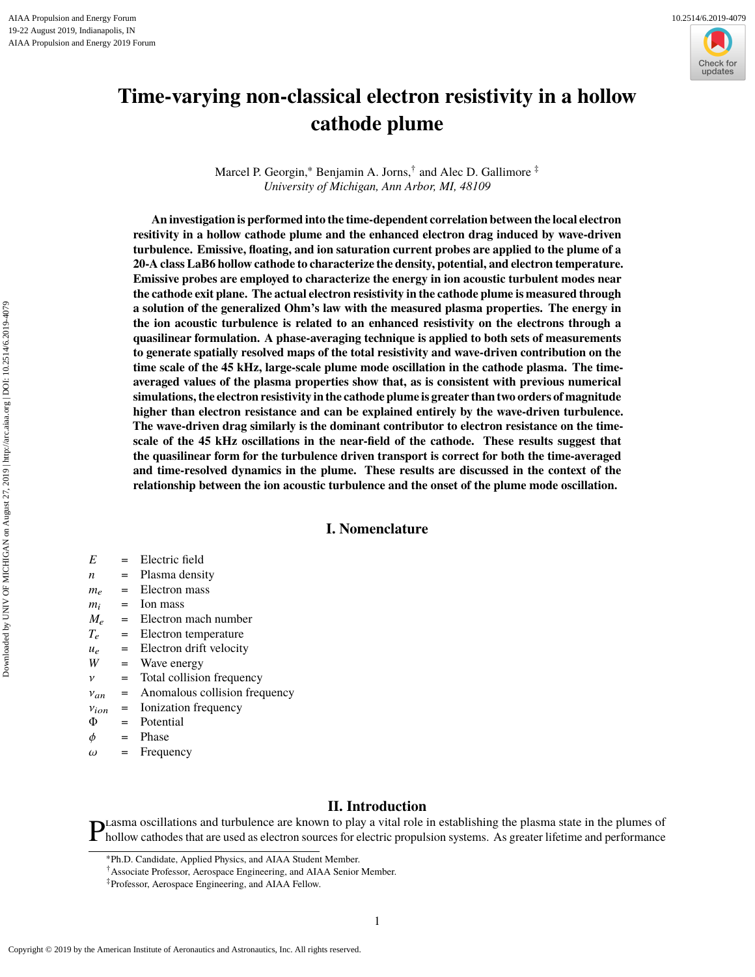

# **Time-varying non-classical electron resistivity in a hollow cathode plume**

Marcel P. Georgin,<sup>∗</sup> Benjamin A. Jorns,† and Alec D. Gallimore ‡ *University of Michigan, Ann Arbor, MI, 48109*

**An investigation is performed into the time-dependent correlation between the local electron resitivity in a hollow cathode plume and the enhanced electron drag induced by wave-driven turbulence. Emissive, floating, and ion saturation current probes are applied to the plume of a 20-A class LaB6 hollow cathode to characterize the density, potential, and electron temperature. Emissive probes are employed to characterize the energy in ion acoustic turbulent modes near the cathode exit plane. The actual electron resistivity in the cathode plume is measured through a solution of the generalized Ohm's law with the measured plasma properties. The energy in the ion acoustic turbulence is related to an enhanced resistivity on the electrons through a quasilinear formulation. A phase-averaging technique is applied to both sets of measurements to generate spatially resolved maps of the total resistivity and wave-driven contribution on the time scale of the 45 kHz, large-scale plume mode oscillation in the cathode plasma. The timeaveraged values of the plasma properties show that, as is consistent with previous numerical simulations, the electron resistivity in the cathode plume is greater than two orders of magnitude higher than electron resistance and can be explained entirely by the wave-driven turbulence. The wave-driven drag similarly is the dominant contributor to electron resistance on the timescale of the 45 kHz oscillations in the near-field of the cathode. These results suggest that the quasilinear form for the turbulence driven transport is correct for both the time-averaged and time-resolved dynamics in the plume. These results are discussed in the context of the relationship between the ion acoustic turbulence and the onset of the plume mode oscillation.**

# **I. Nomenclature**

- *E* = Electric field
- *n* = Plasma density
- $m_e$  = Electron mass
- $m_i$  = Ion mass
- $M_e$  = Electron mach number
- *T*<sup>e</sup> = Electron temperature
- $u_e$  = Electron drift velocity
- *W* = Wave energy
- $v =$  Total collision frequency<br>  $v_{an}$  = Anomalous collision frequency
- $v_{an}$  = Anomalous collision frequency<br> $v_{ion}$  = Ionization frequency
- $v_{ion}$  = Ionization frequency<br>  $\Phi$  = Potential
- Potential
- $φ = Phase$ <br>  $ω = Freeu$
- Frequency

# **II. Introduction**

**P** Lasma oscillations and turbulence are known to play a vital role in establishing the plasma state in the plumes of hollow cathodes that are used as electron sources for electric propulsion systems. As greater lifetime hollow cathodes that are used as electron sources for electric propulsion systems. As greater lifetime and performance

<sup>∗</sup>Ph.D. Candidate, Applied Physics, and AIAA Student Member.

<sup>†</sup>Associate Professor, Aerospace Engineering, and AIAA Senior Member.

<sup>‡</sup>Professor, Aerospace Engineering, and AIAA Fellow.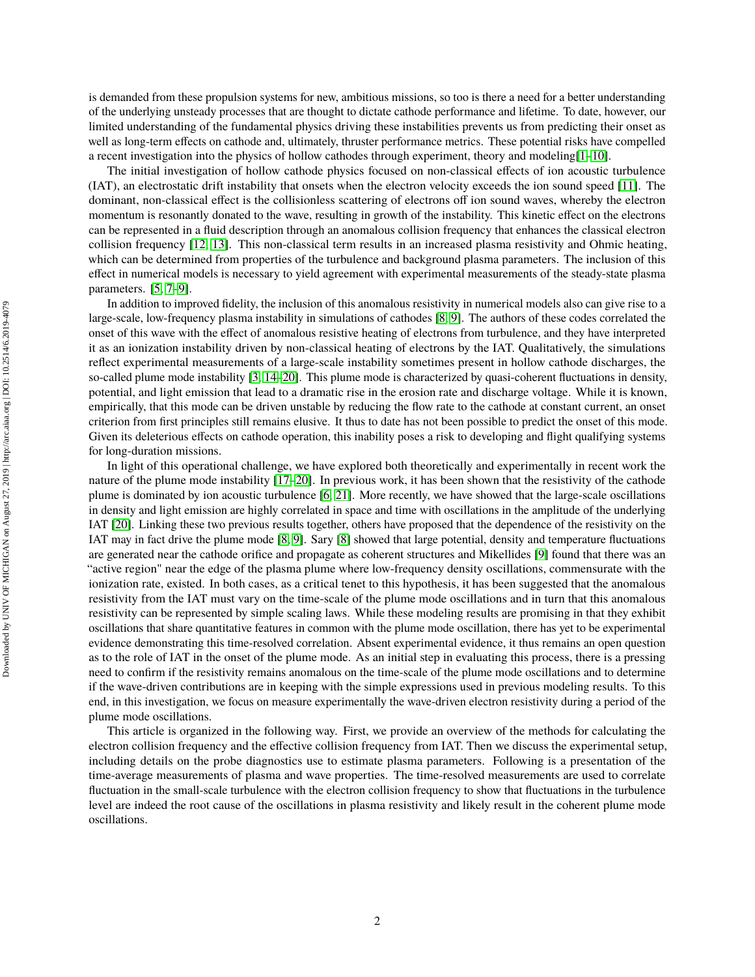is demanded from these propulsion systems for new, ambitious missions, so too is there a need for a better understanding of the underlying unsteady processes that are thought to dictate cathode performance and lifetime. To date, however, our limited understanding of the fundamental physics driving these instabilities prevents us from predicting their onset as well as long-term effects on cathode and, ultimately, thruster performance metrics. These potential risks have compelled a recent investigation into the physics of hollow cathodes through experiment, theory and modeling[\[1](#page-10-0)[–10\]](#page-11-0).

The initial investigation of hollow cathode physics focused on non-classical effects of ion acoustic turbulence (IAT), an electrostatic drift instability that onsets when the electron velocity exceeds the ion sound speed [\[11\]](#page-11-1). The dominant, non-classical effect is the collisionless scattering of electrons off ion sound waves, whereby the electron momentum is resonantly donated to the wave, resulting in growth of the instability. This kinetic effect on the electrons can be represented in a fluid description through an anomalous collision frequency that enhances the classical electron collision frequency [\[12,](#page-11-2) [13\]](#page-11-3). This non-classical term results in an increased plasma resistivity and Ohmic heating, which can be determined from properties of the turbulence and background plasma parameters. The inclusion of this effect in numerical models is necessary to yield agreement with experimental measurements of the steady-state plasma parameters. [\[5,](#page-11-4) [7](#page-11-5)[–9\]](#page-11-6).

In addition to improved fidelity, the inclusion of this anomalous resistivity in numerical models also can give rise to a large-scale, low-frequency plasma instability in simulations of cathodes [\[8,](#page-11-7) [9\]](#page-11-6). The authors of these codes correlated the onset of this wave with the effect of anomalous resistive heating of electrons from turbulence, and they have interpreted it as an ionization instability driven by non-classical heating of electrons by the IAT. Qualitatively, the simulations reflect experimental measurements of a large-scale instability sometimes present in hollow cathode discharges, the so-called plume mode instability [\[3,](#page-10-1) [14](#page-11-8)[–20\]](#page-11-9). This plume mode is characterized by quasi-coherent fluctuations in density, potential, and light emission that lead to a dramatic rise in the erosion rate and discharge voltage. While it is known, empirically, that this mode can be driven unstable by reducing the flow rate to the cathode at constant current, an onset criterion from first principles still remains elusive. It thus to date has not been possible to predict the onset of this mode. Given its deleterious effects on cathode operation, this inability poses a risk to developing and flight qualifying systems for long-duration missions.

In light of this operational challenge, we have explored both theoretically and experimentally in recent work the nature of the plume mode instability [\[17–](#page-11-10)[20\]](#page-11-9). In previous work, it has been shown that the resistivity of the cathode plume is dominated by ion acoustic turbulence [\[6,](#page-11-11) [21\]](#page-11-12). More recently, we have showed that the large-scale oscillations in density and light emission are highly correlated in space and time with oscillations in the amplitude of the underlying IAT [\[20\]](#page-11-9). Linking these two previous results together, others have proposed that the dependence of the resistivity on the IAT may in fact drive the plume mode [\[8,](#page-11-7) [9\]](#page-11-6). Sary [\[8\]](#page-11-7) showed that large potential, density and temperature fluctuations are generated near the cathode orifice and propagate as coherent structures and Mikellides [\[9\]](#page-11-6) found that there was an "active region" near the edge of the plasma plume where low-frequency density oscillations, commensurate with the ionization rate, existed. In both cases, as a critical tenet to this hypothesis, it has been suggested that the anomalous resistivity from the IAT must vary on the time-scale of the plume mode oscillations and in turn that this anomalous resistivity can be represented by simple scaling laws. While these modeling results are promising in that they exhibit oscillations that share quantitative features in common with the plume mode oscillation, there has yet to be experimental evidence demonstrating this time-resolved correlation. Absent experimental evidence, it thus remains an open question as to the role of IAT in the onset of the plume mode. As an initial step in evaluating this process, there is a pressing need to confirm if the resistivity remains anomalous on the time-scale of the plume mode oscillations and to determine if the wave-driven contributions are in keeping with the simple expressions used in previous modeling results. To this end, in this investigation, we focus on measure experimentally the wave-driven electron resistivity during a period of the plume mode oscillations.

This article is organized in the following way. First, we provide an overview of the methods for calculating the electron collision frequency and the effective collision frequency from IAT. Then we discuss the experimental setup, including details on the probe diagnostics use to estimate plasma parameters. Following is a presentation of the time-average measurements of plasma and wave properties. The time-resolved measurements are used to correlate fluctuation in the small-scale turbulence with the electron collision frequency to show that fluctuations in the turbulence level are indeed the root cause of the oscillations in plasma resistivity and likely result in the coherent plume mode oscillations.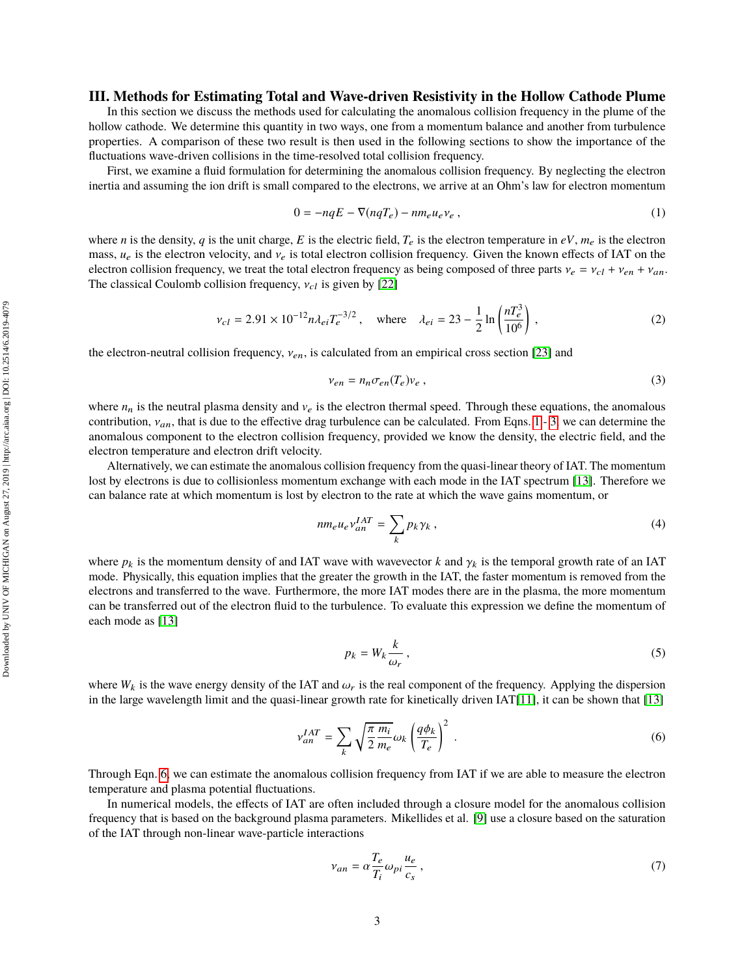# **III. Methods for Estimating Total and Wave-driven Resistivity in the Hollow Cathode Plume**

In this section we discuss the methods used for calculating the anomalous collision frequency in the plume of the hollow cathode. We determine this quantity in two ways, one from a momentum balance and another from turbulence properties. A comparison of these two result is then used in the following sections to show the importance of the fluctuations wave-driven collisions in the time-resolved total collision frequency.

First, we examine a fluid formulation for determining the anomalous collision frequency. By neglecting the electron inertia and assuming the ion drift is small compared to the electrons, we arrive at an Ohm's law for electron momentum

<span id="page-2-0"></span>
$$
0 = -nqE - \nabla(nqT_e) - nm_e u_e v_e ,
$$
 (1)

where *n* is the density, *q* is the unit charge, *E* is the electric field,  $T_e$  is the electron temperature in  $eV$ ,  $m_e$  is the electron mass,  $u_e$  is the electron velocity, and  $v_e$  is total electron collision frequency. Given the known effects of IAT on the electron collision frequency, we treat the total electron frequency as being composed of three parts  $v_e = v_{c1} + v_{en} + v_{an}$ . The classical Coulomb collision frequency,  $v_{cl}$  is given by [\[22\]](#page-11-13)

$$
v_{cl} = 2.91 \times 10^{-12} n \lambda_{ei} T_e^{-3/2}, \quad \text{where} \quad \lambda_{ei} = 23 - \frac{1}{2} \ln \left( \frac{n T_e^3}{10^6} \right), \tag{2}
$$

the electron-neutral collision frequency,  $v_{en}$ , is calculated from an empirical cross section [\[23\]](#page-12-0) and

<span id="page-2-3"></span><span id="page-2-1"></span>
$$
v_{en} = n_n \sigma_{en}(T_e) v_e , \qquad (3)
$$

where  $n_n$  is the neutral plasma density and  $v_e$  is the electron thermal speed. Through these equations, the anomalous contribution,  $v_{an}$ , that is due to the effective drag turbulence can be calculated. From Eqns. [1](#page-2-0) - [3,](#page-2-1) we can determine the anomalous component to the electron collision frequency, provided we know the density, the electric field, and the electron temperature and electron drift velocity.

Alternatively, we can estimate the anomalous collision frequency from the quasi-linear theory of IAT. The momentum lost by electrons is due to collisionless momentum exchange with each mode in the IAT spectrum [\[13\]](#page-11-3). Therefore we can balance rate at which momentum is lost by electron to the rate at which the wave gains momentum, or

$$
nm_e u_e v_{an}^{IAT} = \sum_k p_k \gamma_k , \qquad (4)
$$

where  $p_k$  is the momentum density of and IAT wave with wavevector k and  $\gamma_k$  is the temporal growth rate of an IAT mode. Physically, this equation implies that the greater the growth in the IAT, the faster momentum is removed from the electrons and transferred to the wave. Furthermore, the more IAT modes there are in the plasma, the more momentum can be transferred out of the electron fluid to the turbulence. To evaluate this expression we define the momentum of each mode as [\[13\]](#page-11-3)

<span id="page-2-2"></span>
$$
p_k = W_k \frac{k}{\omega_r},\tag{5}
$$

where  $W_k$  is the wave energy density of the IAT and  $\omega_r$  is the real component of the frequency. Applying the dispersion in the large wavelength limit and the quasi-linear growth rate for kinetically driven IAT[\[11\]](#page-11-1), it can be shown that [\[13\]](#page-11-3)

$$
v_{an}^{IAT} = \sum_{k} \sqrt{\frac{\pi m_i}{2 m_e}} \omega_k \left(\frac{q\phi_k}{T_e}\right)^2 \tag{6}
$$

Through Eqn. [6,](#page-2-2) we can estimate the anomalous collision frequency from IAT if we are able to measure the electron temperature and plasma potential fluctuations.

In numerical models, the effects of IAT are often included through a closure model for the anomalous collision frequency that is based on the background plasma parameters. Mikellides et al. [\[9\]](#page-11-6) use a closure based on the saturation of the IAT through non-linear wave-particle interactions

<span id="page-2-4"></span>
$$
v_{an} = \alpha \frac{T_e}{T_i} \omega_{pi} \frac{u_e}{c_s} \,,\tag{7}
$$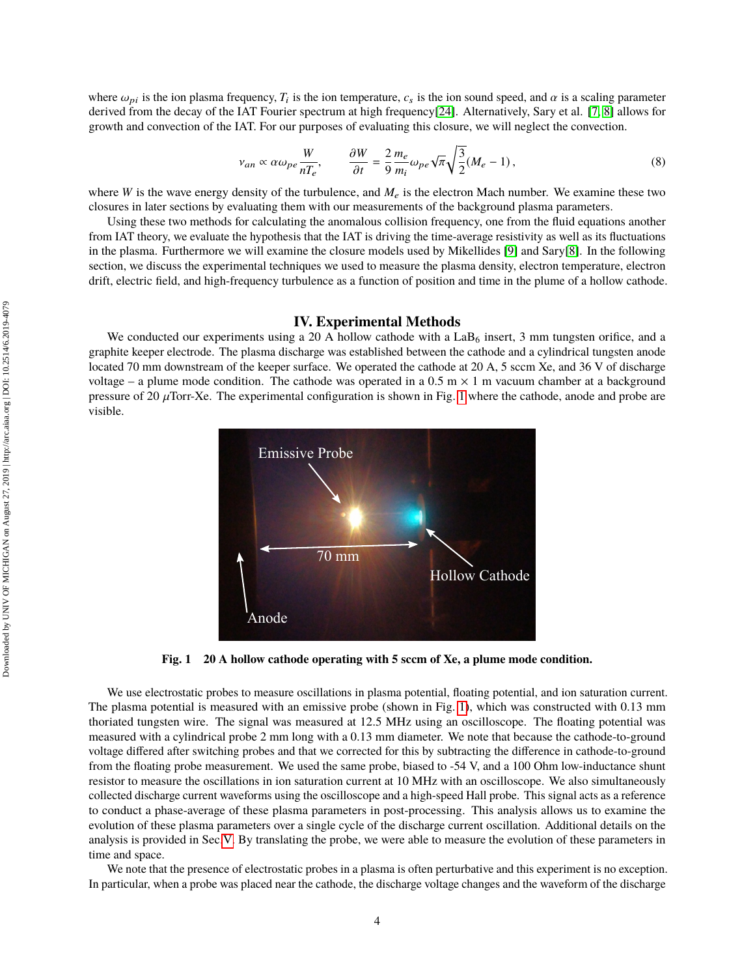where  $\omega_{pi}$  is the ion plasma frequency,  $T_i$  is the ion temperature,  $c_s$  is the ion sound speed, and  $\alpha$  is a scaling parameter derived from the decay of the LAT Fourier spectrum at high frequency<sup>[24]</sup> Alternatively derived from the decay of the IAT Fourier spectrum at high frequency[\[24\]](#page-12-1). Alternatively, Sary et al. [\[7,](#page-11-5) [8\]](#page-11-7) allows for growth and convection of the IAT. For our purposes of evaluating this closure, we will neglect the convection.

$$
v_{an} \propto \alpha \omega_{pe} \frac{W}{nT_e}, \qquad \frac{\partial W}{\partial t} = \frac{2}{9} \frac{m_e}{m_i} \omega_{pe} \sqrt{\pi} \sqrt{\frac{3}{2}} (M_e - 1), \tag{8}
$$

where *W* is the wave energy density of the turbulence, and  $M_e$  is the electron Mach number. We examine these two closures in later sections by evaluating them with our measurements of the background plasma parameters.

Using these two methods for calculating the anomalous collision frequency, one from the fluid equations another from IAT theory, we evaluate the hypothesis that the IAT is driving the time-average resistivity as well as its fluctuations in the plasma. Furthermore we will examine the closure models used by Mikellides [\[9\]](#page-11-6) and Sary[\[8\]](#page-11-7). In the following section, we discuss the experimental techniques we used to measure the plasma density, electron temperature, electron drift, electric field, and high-frequency turbulence as a function of position and time in the plume of a hollow cathode.

#### <span id="page-3-1"></span>**IV. Experimental Methods**

We conducted our experiments using a 20 A hollow cathode with a  $LaB<sub>6</sub>$  insert, 3 mm tungsten orifice, and a graphite keeper electrode. The plasma discharge was established between the cathode and a cylindrical tungsten anode located 70 mm downstream of the keeper surface. We operated the cathode at 20 A, 5 sccm Xe, and 36 V of discharge voltage – a plume mode condition. The cathode was operated in a  $0.5 \text{ m} \times 1 \text{ m}$  vacuum chamber at a background pressure of 20  $\mu$ Torr-Xe. The experimental configuration is shown in Fig. [1](#page-3-0) where the cathode, anode and probe are visible.

<span id="page-3-0"></span>

**Fig. 1 20 A hollow cathode operating with 5 sccm of Xe, a plume mode condition.**

We use electrostatic probes to measure oscillations in plasma potential, floating potential, and ion saturation current. The plasma potential is measured with an emissive probe (shown in Fig. [1\)](#page-3-0), which was constructed with 0.13 mm thoriated tungsten wire. The signal was measured at 12.5 MHz using an oscilloscope. The floating potential was measured with a cylindrical probe 2 mm long with a 0.13 mm diameter. We note that because the cathode-to-ground voltage differed after switching probes and that we corrected for this by subtracting the difference in cathode-to-ground from the floating probe measurement. We used the same probe, biased to -54 V, and a 100 Ohm low-inductance shunt resistor to measure the oscillations in ion saturation current at 10 MHz with an oscilloscope. We also simultaneously collected discharge current waveforms using the oscilloscope and a high-speed Hall probe. This signal acts as a reference to conduct a phase-average of these plasma parameters in post-processing. This analysis allows us to examine the evolution of these plasma parameters over a single cycle of the discharge current oscillation. Additional details on the analysis is provided in Sec[.V.](#page-4-0) By translating the probe, we were able to measure the evolution of these parameters in time and space.

We note that the presence of electrostatic probes in a plasma is often perturbative and this experiment is no exception. In particular, when a probe was placed near the cathode, the discharge voltage changes and the waveform of the discharge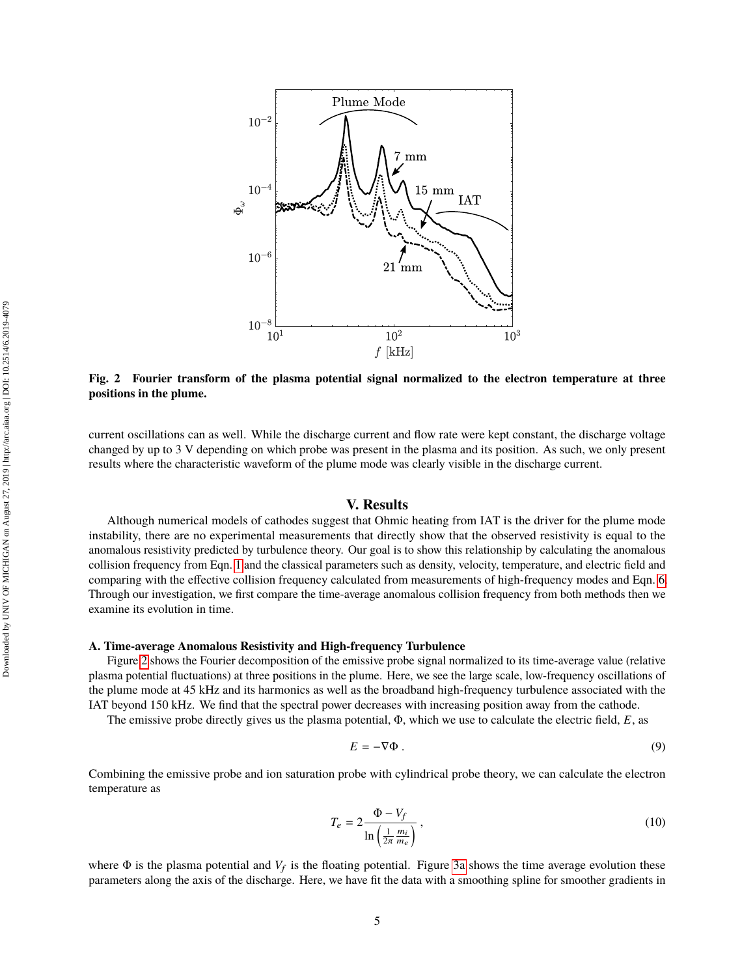<span id="page-4-1"></span>

**Fig. 2 Fourier transform of the plasma potential signal normalized to the electron temperature at three positions in the plume.**

current oscillations can as well. While the discharge current and flow rate were kept constant, the discharge voltage changed by up to 3 V depending on which probe was present in the plasma and its position. As such, we only present results where the characteristic waveform of the plume mode was clearly visible in the discharge current.

#### **V. Results**

<span id="page-4-0"></span>Although numerical models of cathodes suggest that Ohmic heating from IAT is the driver for the plume mode instability, there are no experimental measurements that directly show that the observed resistivity is equal to the anomalous resistivity predicted by turbulence theory. Our goal is to show this relationship by calculating the anomalous collision frequency from Eqn. [1](#page-2-0) and the classical parameters such as density, velocity, temperature, and electric field and comparing with the effective collision frequency calculated from measurements of high-frequency modes and Eqn. [6.](#page-2-2) Through our investigation, we first compare the time-average anomalous collision frequency from both methods then we examine its evolution in time.

#### **A. Time-average Anomalous Resistivity and High-frequency Turbulence**

Figure [2](#page-4-1) shows the Fourier decomposition of the emissive probe signal normalized to its time-average value (relative plasma potential fluctuations) at three positions in the plume. Here, we see the large scale, low-frequency oscillations of the plume mode at 45 kHz and its harmonics as well as the broadband high-frequency turbulence associated with the IAT beyond 150 kHz. We find that the spectral power decreases with increasing position away from the cathode.

The emissive probe directly gives us the plasma potential, Φ, which we use to calculate the electric field, *E*, as

<span id="page-4-2"></span>
$$
E = -\nabla \Phi \tag{9}
$$

Combining the emissive probe and ion saturation probe with cylindrical probe theory, we can calculate the electron temperature as

$$
T_e = 2 \frac{\Phi - V_f}{\ln\left(\frac{1}{2\pi} \frac{m_i}{m_e}\right)},\tag{10}
$$

where  $\Phi$  is the plasma potential and  $V_f$  is the floating potential. Figure [3a](#page-5-0) shows the time average evolution these parameters along the axis of the discharge. Here, we have fit the data with a smoothing spline for smoother gradients in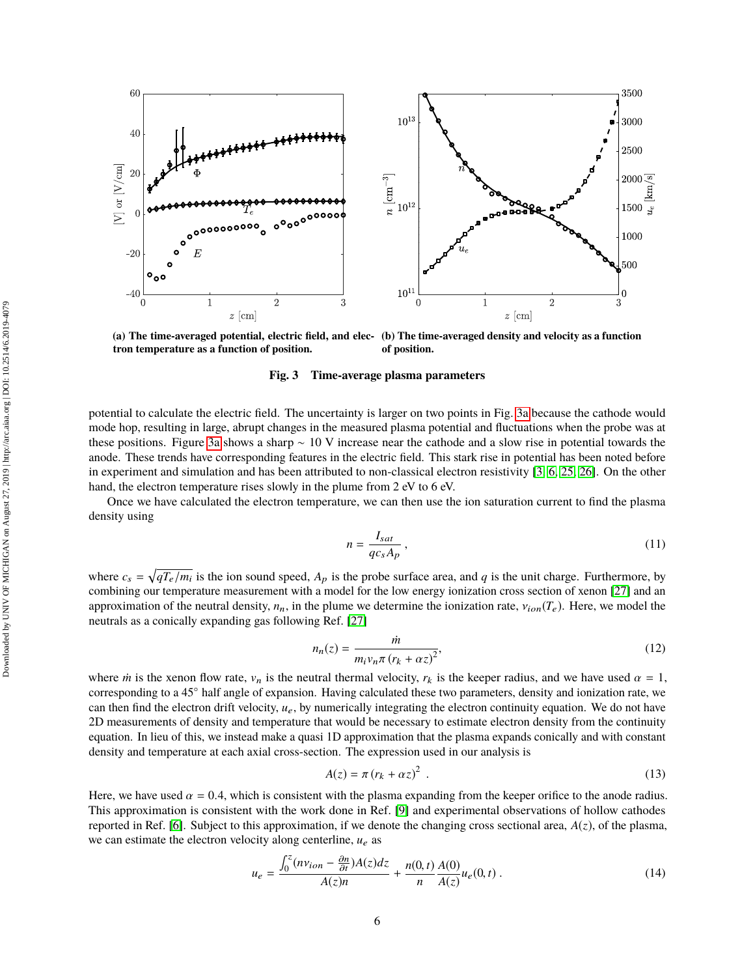<span id="page-5-0"></span>

**(a) The time-averaged potential, electric field, and elec-(b) The time-averaged density and velocity as a function tron temperature as a function of position. of position.**

**Fig. 3 Time-average plasma parameters**

potential to calculate the electric field. The uncertainty is larger on two points in Fig. [3a](#page-5-0) because the cathode would mode hop, resulting in large, abrupt changes in the measured plasma potential and fluctuations when the probe was at these positions. Figure [3a](#page-5-0) shows a sharp ∼ 10 V increase near the cathode and a slow rise in potential towards the anode. These trends have corresponding features in the electric field. This stark rise in potential has been noted before in experiment and simulation and has been attributed to non-classical electron resistivity [\[3,](#page-10-1) [6,](#page-11-11) [25,](#page-12-2) [26\]](#page-12-3). On the other hand, the electron temperature rises slowly in the plume from 2 eV to 6 eV.

Once we have calculated the electron temperature, we can then use the ion saturation current to find the plasma density using

$$
n = \frac{I_{sat}}{qc_s A_p},\tag{11}
$$

where  $c_s = \sqrt{qT_e/m_i}$  is the ion sound speed,  $A_p$  is the probe surface area, and *q* is the unit charge. Furthermore, by combining our temperature measurement with a model for the low energy ionization cross section of xenon [\[27\]](#page-12-4) and an approximation of the neutral density,  $n_n$ , in the plume we determine the ionization rate,  $v_{ion}(T_e)$ . Here, we model the neutrals as a conically expanding gas following Ref. [\[27\]](#page-12-4)

$$
n_n(z) = \frac{\dot{m}}{m_i v_n \pi (r_k + \alpha z)^2},\tag{12}
$$

where *m* is the xenon flow rate,  $v_n$  is the neutral thermal velocity,  $r_k$  is the keeper radius, and we have used  $\alpha = 1$ , corresponding to a 45<sup>°</sup> half angle of expansion. Having calculated these two parameters density corresponding to a 45◦ half angle of expansion. Having calculated these two parameters, density and ionization rate, we can then find the electron drift velocity,  $u_e$ , by numerically integrating the electron continuity equation. We do not have 2D measurements of density and temperature that would be necessary to estimate electron density from the continuity equation. In lieu of this, we instead make a quasi 1D approximation that the plasma expands conically and with constant density and temperature at each axial cross-section. The expression used in our analysis is

<span id="page-5-1"></span>
$$
A(z) = \pi (r_k + \alpha z)^2
$$
 (13)

Here, we have used  $\alpha = 0.4$ , which is consistent with the plasma expanding from the keeper orifice to the anode radius. This approximation is consistent with the work done in Ref. [\[9\]](#page-11-6) and experimental observations of hollow cathodes reported in Ref. [\[6\]](#page-11-11). Subject to this approximation, if we denote the changing cross sectional area,  $A(z)$ , of the plasma, we can estimate the electron velocity along centerline,  $u_e$  as

$$
u_e = \frac{\int_0^z (n v_{ion} - \frac{\partial n}{\partial t}) A(z) dz}{A(z)n} + \frac{n(0, t)}{n} \frac{A(0)}{A(z)} u_e(0, t) .
$$
 (14)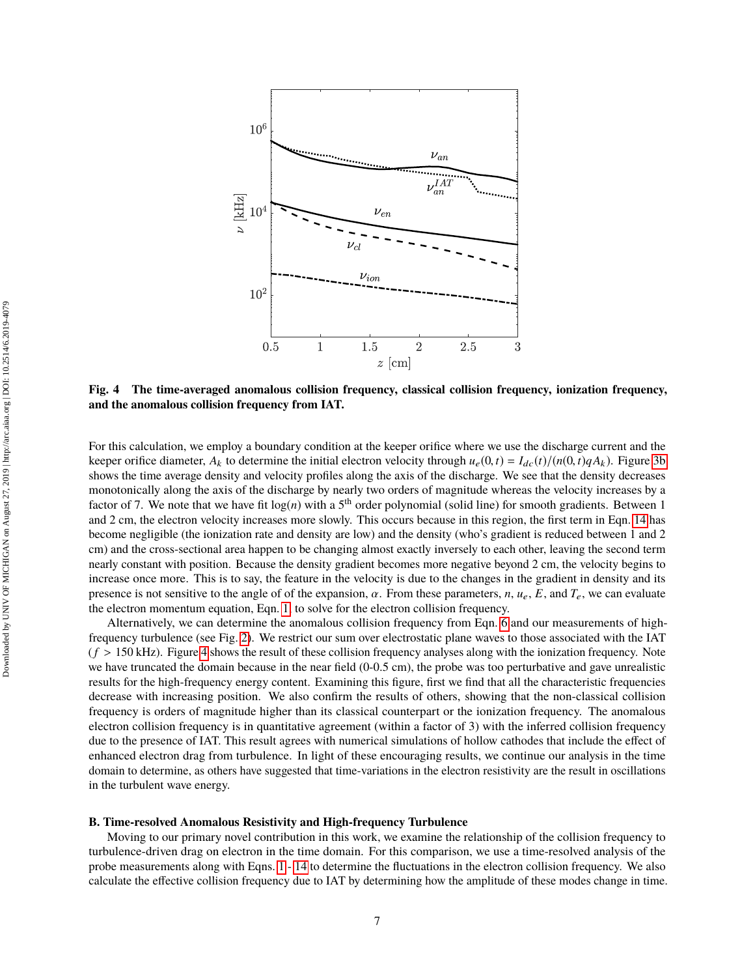<span id="page-6-0"></span>

**Fig. 4 The time-averaged anomalous collision frequency, classical collision frequency, ionization frequency, and the anomalous collision frequency from IAT.**

For this calculation, we employ a boundary condition at the keeper orifice where we use the discharge current and the keeper orifice diameter,  $A_k$  to determine the initial electron velocity through  $u_e(0, t) = I_{dc}(t)/(n(0, t)qA_k)$ . Figure [3b](#page-5-0) shows the time average density and velocity profiles along the axis of the discharge. We see that the density decreases monotonically along the axis of the discharge by nearly two orders of magnitude whereas the velocity increases by a factor of 7. We note that we have fit  $log(n)$  with a 5<sup>th</sup> order polynomial (solid line) for smooth gradients. Between 1 and 2 cm, the electron velocity increases more slowly. This occurs because in this region, the first term in Eqn. [14](#page-5-1) has become negligible (the ionization rate and density are low) and the density (who's gradient is reduced between 1 and 2 cm) and the cross-sectional area happen to be changing almost exactly inversely to each other, leaving the second term nearly constant with position. Because the density gradient becomes more negative beyond 2 cm, the velocity begins to increase once more. This is to say, the feature in the velocity is due to the changes in the gradient in density and its presence is not sensitive to the angle of of the expansion,  $\alpha$ . From these parameters,  $n, u_e, E$ , and  $T_e$ , we can evaluate the electron momentum equation, Eqn. [1,](#page-2-0) to solve for the electron collision frequency.

Alternatively, we can determine the anomalous collision frequency from Eqn. [6](#page-2-2) and our measurements of highfrequency turbulence (see Fig. [2\)](#page-4-1). We restrict our sum over electrostatic plane waves to those associated with the IAT  $(f > 150 \text{ kHz})$ . Figure [4](#page-6-0) shows the result of these collision frequency analyses along with the ionization frequency. Note we have truncated the domain because in the near field  $(0-0.5 \text{ cm})$ , the probe was too perturbative and gave unrealistic results for the high-frequency energy content. Examining this figure, first we find that all the characteristic frequencies decrease with increasing position. We also confirm the results of others, showing that the non-classical collision frequency is orders of magnitude higher than its classical counterpart or the ionization frequency. The anomalous electron collision frequency is in quantitative agreement (within a factor of 3) with the inferred collision frequency due to the presence of IAT. This result agrees with numerical simulations of hollow cathodes that include the effect of enhanced electron drag from turbulence. In light of these encouraging results, we continue our analysis in the time domain to determine, as others have suggested that time-variations in the electron resistivity are the result in oscillations in the turbulent wave energy.

#### **B. Time-resolved Anomalous Resistivity and High-frequency Turbulence**

Moving to our primary novel contribution in this work, we examine the relationship of the collision frequency to turbulence-driven drag on electron in the time domain. For this comparison, we use a time-resolved analysis of the probe measurements along with Eqns. [1](#page-2-0) - [14](#page-5-1) to determine the fluctuations in the electron collision frequency. We also calculate the effective collision frequency due to IAT by determining how the amplitude of these modes change in time.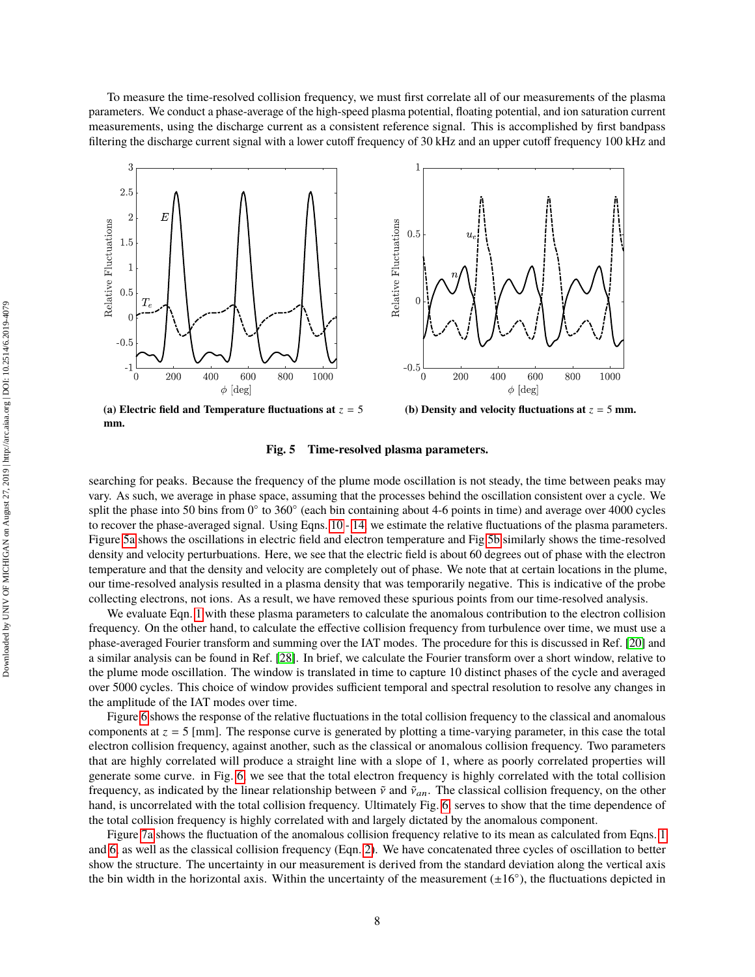To measure the time-resolved collision frequency, we must first correlate all of our measurements of the plasma parameters. We conduct a phase-average of the high-speed plasma potential, floating potential, and ion saturation current measurements, using the discharge current as a consistent reference signal. This is accomplished by first bandpass filtering the discharge current signal with a lower cutoff frequency of 30 kHz and an upper cutoff frequency 100 kHz and

<span id="page-7-0"></span>

**mm.**

**Fig. 5 Time-resolved plasma parameters.**

searching for peaks. Because the frequency of the plume mode oscillation is not steady, the time between peaks may vary. As such, we average in phase space, assuming that the processes behind the oscillation consistent over a cycle. We split the phase into 50 bins from 0° to 360° (each bin containing about 4-6 points in time) and average over 4000 cycles to recover the phase-averaged signal. Using Eqns. [10](#page-4-2) - [14,](#page-5-1) we estimate the relative fluctuations of the plasma parameters. Figure [5a](#page-7-0) shows the oscillations in electric field and electron temperature and Fig[.5b](#page-7-0) similarly shows the time-resolved density and velocity perturbuations. Here, we see that the electric field is about 60 degrees out of phase with the electron temperature and that the density and velocity are completely out of phase. We note that at certain locations in the plume, our time-resolved analysis resulted in a plasma density that was temporarily negative. This is indicative of the probe collecting electrons, not ions. As a result, we have removed these spurious points from our time-resolved analysis.

We evaluate Eqn. [1](#page-2-0) with these plasma parameters to calculate the anomalous contribution to the electron collision frequency. On the other hand, to calculate the effective collision frequency from turbulence over time, we must use a phase-averaged Fourier transform and summing over the IAT modes. The procedure for this is discussed in Ref. [\[20\]](#page-11-9) and a similar analysis can be found in Ref. [\[28\]](#page-12-5). In brief, we calculate the Fourier transform over a short window, relative to the plume mode oscillation. The window is translated in time to capture 10 distinct phases of the cycle and averaged over 5000 cycles. This choice of window provides sufficient temporal and spectral resolution to resolve any changes in the amplitude of the IAT modes over time.

Figure [6](#page-8-0) shows the response of the relative fluctuations in the total collision frequency to the classical and anomalous components at *z* = 5 [mm]. The response curve is generated by plotting a time-varying parameter, in this case the total electron collision frequency, against another, such as the classical or anomalous collision frequency. Two parameters that are highly correlated will produce a straight line with a slope of 1, where as poorly correlated properties will generate some curve. in Fig. [6,](#page-8-0) we see that the total electron frequency is highly correlated with the total collision frequency, as indicated by the linear relationship between  $\tilde{v}$  and  $\tilde{v}_{an}$ . The classical collision frequency, on the other hand, is uncorrelated with the total collision frequency. Ultimately Fig. [6,](#page-8-0) serves to show that the time dependence of the total collision frequency is highly correlated with and largely dictated by the anomalous component.

Figure [7a](#page-8-1) shows the fluctuation of the anomalous collision frequency relative to its mean as calculated from Eqns. [1](#page-2-0) and [6,](#page-2-2) as well as the classical collision frequency (Eqn. [2\)](#page-2-3). We have concatenated three cycles of oscillation to better show the structure. The uncertainty in our measurement is derived from the standard deviation along the vertical axis the bin width in the horizontal axis. Within the uncertainty of the measurement  $(\pm 16^{\circ})$ , the fluctuations depicted in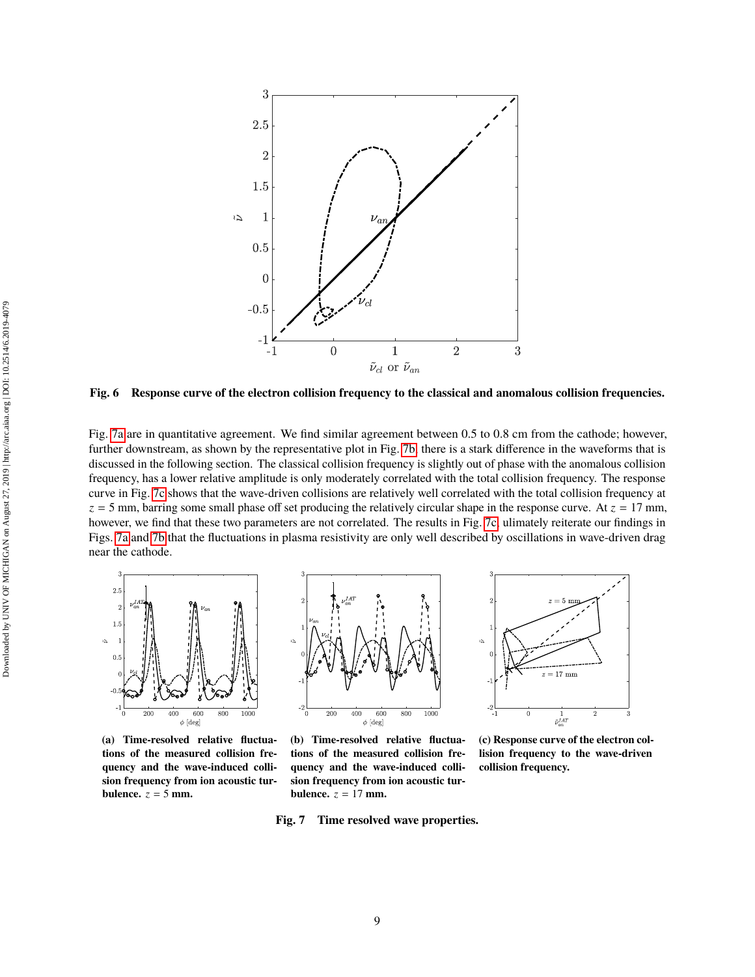<span id="page-8-0"></span>

**Fig. 6 Response curve of the electron collision frequency to the classical and anomalous collision frequencies.**

Fig. [7a](#page-8-1) are in quantitative agreement. We find similar agreement between 0.5 to 0.8 cm from the cathode; however, further downstream, as shown by the representative plot in Fig. [7b,](#page-8-1) there is a stark difference in the waveforms that is discussed in the following section. The classical collision frequency is slightly out of phase with the anomalous collision frequency, has a lower relative amplitude is only moderately correlated with the total collision frequency. The response curve in Fig. [7c](#page-8-1) shows that the wave-driven collisions are relatively well correlated with the total collision frequency at  $z = 5$  mm, barring some small phase off set producing the relatively circular shape in the response curve. At  $z = 17$  mm, however, we find that these two parameters are not correlated. The results in Fig. [7c,](#page-8-1) ulimately reiterate our findings in Figs. [7a](#page-8-1) and [7b](#page-8-1) that the fluctuations in plasma resistivity are only well described by oscillations in wave-driven drag near the cathode.

<span id="page-8-1"></span>

**(a) Time-resolved relative fluctuations of the measured collision frequency and the wave-induced collision frequency from ion acoustic turbulence.**  $z = 5$  mm.



**(b) Time-resolved relative fluctuations of the measured collision frequency and the wave-induced collision frequency from ion acoustic turbulence.**  $z = 17$  mm.

**Fig. 7 Time resolved wave properties.**



**(c) Response curve of the electron collision frequency to the wave-driven collision frequency.**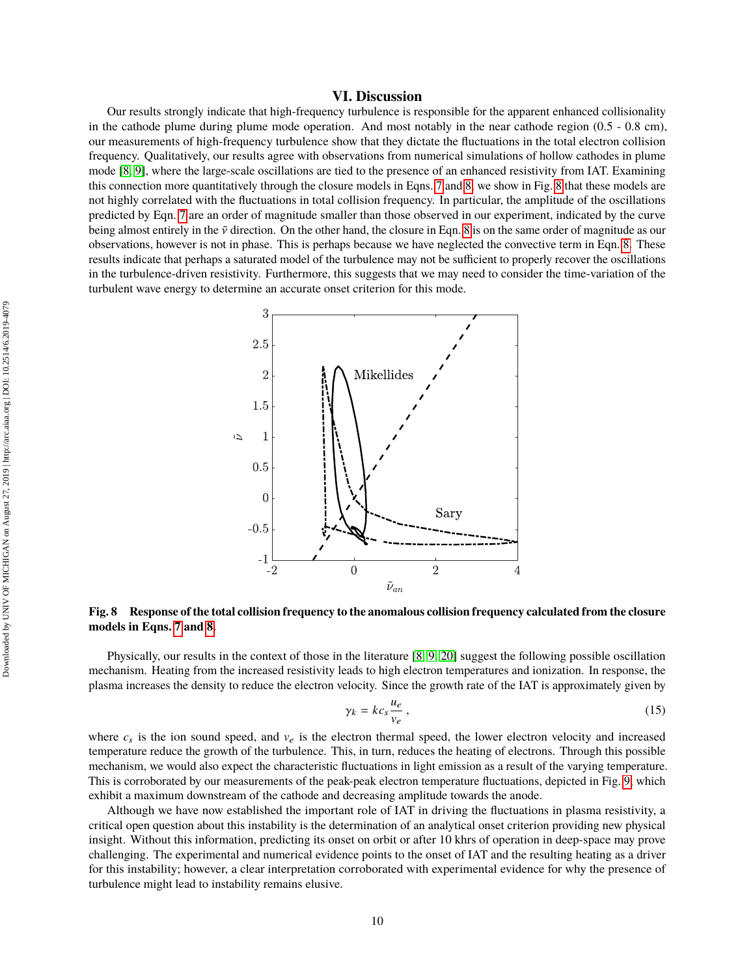### **VI. Discussion**

Our results strongly indicate that high-frequency turbulence is responsible for the apparent enhanced collisionality in the cathode plume during plume mode operation. And most notably in the near cathode region (0.5 - 0.8 cm), our measurements of high-frequency turbulence show that they dictate the fluctuations in the total electron collision frequency. Qualitatively, our results agree with observations from numerical simulations of hollow cathodes in plume mode [\[8,](#page-11-7) [9\]](#page-11-6), where the large-scale oscillations are tied to the presence of an enhanced resistivity from IAT. Examining this connection more quantitatively through the closure models in Eqns. [7](#page-2-4) and [8,](#page-3-1) we show in Fig. [8](#page-9-0) that these models are not highly correlated with the fluctuations in total collision frequency. In particular, the amplitude of the oscillations predicted by Eqn. [7](#page-2-4) are an order of magnitude smaller than those observed in our experiment, indicated by the curve being almost entirely in the  $\tilde{v}$  direction. On the other hand, the closure in Eqn. [8](#page-3-1) is on the same order of magnitude as our observations, however is not in phase. This is perhaps because we have neglected the convective term in Eqn. [8.](#page-3-1) These results indicate that perhaps a saturated model of the turbulence may not be sufficient to properly recover the oscillations in the turbulence-driven resistivity. Furthermore, this suggests that we may need to consider the time-variation of the turbulent wave energy to determine an accurate onset criterion for this mode.

<span id="page-9-0"></span>

**Fig. 8 Response of the total collision frequency to the anomalous collision frequency calculated from the closure models in Eqns. [7](#page-2-4) and [8.](#page-3-1)**

Physically, our results in the context of those in the literature [\[8,](#page-11-7) [9,](#page-11-6) [20\]](#page-11-9) suggest the following possible oscillation mechanism. Heating from the increased resistivity leads to high electron temperatures and ionization. In response, the plasma increases the density to reduce the electron velocity. Since the growth rate of the IAT is approximately given by

$$
\gamma_k = k c_s \frac{u_e}{v_e} \,,\tag{15}
$$

where  $c_s$  is the ion sound speed, and  $v_e$  is the electron thermal speed, the lower electron velocity and increased temperature reduce the growth of the turbulence. This, in turn, reduces the heating of electrons. Through this possible mechanism, we would also expect the characteristic fluctuations in light emission as a result of the varying temperature. This is corroborated by our measurements of the peak-peak electron temperature fluctuations, depicted in Fig. [9,](#page-10-2) which exhibit a maximum downstream of the cathode and decreasing amplitude towards the anode.

Although we have now established the important role of IAT in driving the fluctuations in plasma resistivity, a critical open question about this instability is the determination of an analytical onset criterion providing new physical insight. Without this information, predicting its onset on orbit or after 10 khrs of operation in deep-space may prove challenging. The experimental and numerical evidence points to the onset of IAT and the resulting heating as a driver for this instability; however, a clear interpretation corroborated with experimental evidence for why the presence of turbulence might lead to instability remains elusive.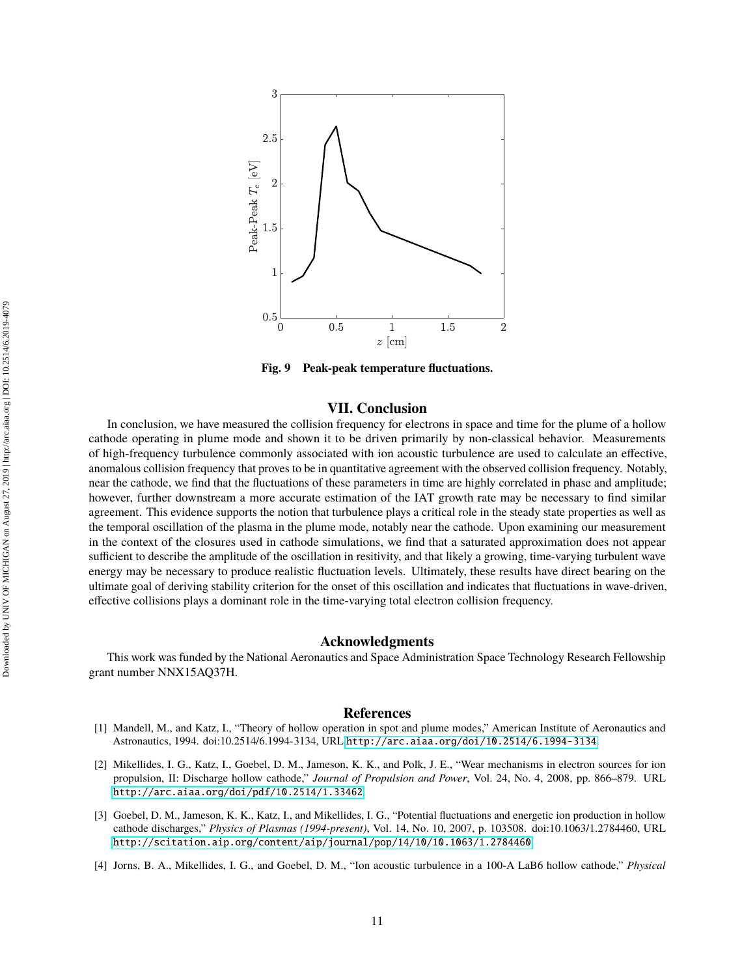<span id="page-10-2"></span>

**Fig. 9 Peak-peak temperature fluctuations.**

#### **VII. Conclusion**

In conclusion, we have measured the collision frequency for electrons in space and time for the plume of a hollow cathode operating in plume mode and shown it to be driven primarily by non-classical behavior. Measurements of high-frequency turbulence commonly associated with ion acoustic turbulence are used to calculate an effective, anomalous collision frequency that proves to be in quantitative agreement with the observed collision frequency. Notably, near the cathode, we find that the fluctuations of these parameters in time are highly correlated in phase and amplitude; however, further downstream a more accurate estimation of the IAT growth rate may be necessary to find similar agreement. This evidence supports the notion that turbulence plays a critical role in the steady state properties as well as the temporal oscillation of the plasma in the plume mode, notably near the cathode. Upon examining our measurement in the context of the closures used in cathode simulations, we find that a saturated approximation does not appear sufficient to describe the amplitude of the oscillation in resitivity, and that likely a growing, time-varying turbulent wave energy may be necessary to produce realistic fluctuation levels. Ultimately, these results have direct bearing on the ultimate goal of deriving stability criterion for the onset of this oscillation and indicates that fluctuations in wave-driven, effective collisions plays a dominant role in the time-varying total electron collision frequency.

#### **Acknowledgments**

This work was funded by the National Aeronautics and Space Administration Space Technology Research Fellowship grant number NNX15AQ37H.

#### **References**

- <span id="page-10-0"></span>[1] Mandell, M., and Katz, I., "Theory of hollow operation in spot and plume modes," American Institute of Aeronautics and Astronautics, 1994. doi:10.2514/6.1994-3134, URL <http://arc.aiaa.org/doi/10.2514/6.1994-3134>.
- [2] Mikellides, I. G., Katz, I., Goebel, D. M., Jameson, K. K., and Polk, J. E., "Wear mechanisms in electron sources for ion propulsion, II: Discharge hollow cathode," *Journal of Propulsion and Power*, Vol. 24, No. 4, 2008, pp. 866–879. URL <http://arc.aiaa.org/doi/pdf/10.2514/1.33462>.
- <span id="page-10-1"></span>[3] Goebel, D. M., Jameson, K. K., Katz, I., and Mikellides, I. G., "Potential fluctuations and energetic ion production in hollow cathode discharges," *Physics of Plasmas (1994-present)*, Vol. 14, No. 10, 2007, p. 103508. doi:10.1063/1.2784460, URL <http://scitation.aip.org/content/aip/journal/pop/14/10/10.1063/1.2784460>.
- [4] Jorns, B. A., Mikellides, I. G., and Goebel, D. M., "Ion acoustic turbulence in a 100-A LaB6 hollow cathode," *Physical*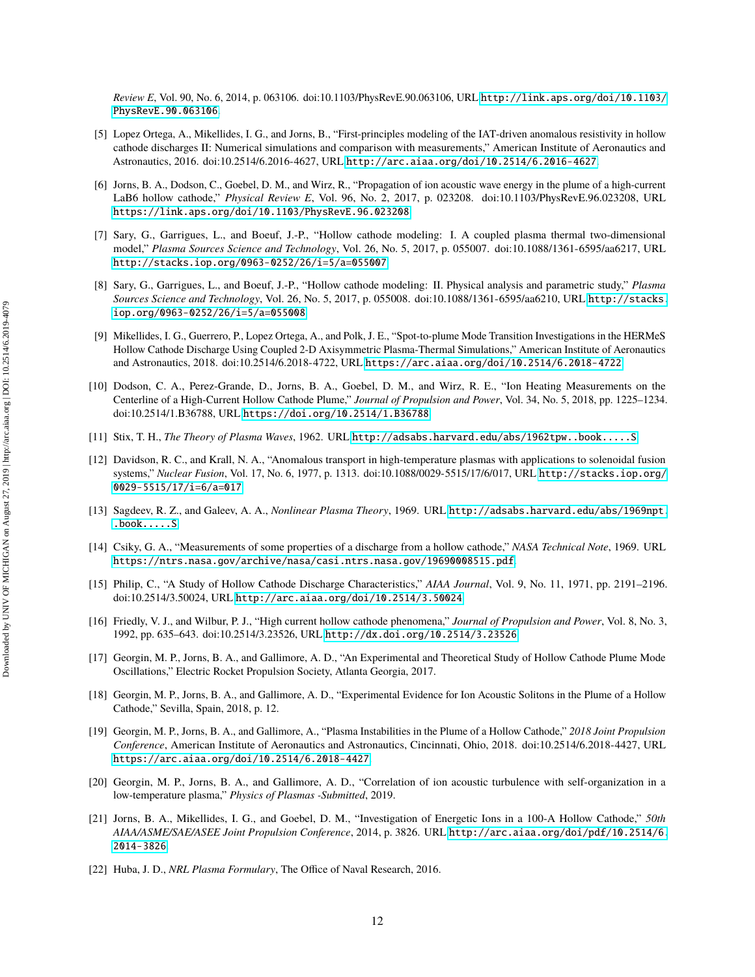*Review E*, Vol. 90, No. 6, 2014, p. 063106. doi:10.1103/PhysRevE.90.063106, URL [http://link.aps.org/doi/10.1103/](http://link.aps.org/doi/10.1103/PhysRevE.90.063106) [PhysRevE.90.063106](http://link.aps.org/doi/10.1103/PhysRevE.90.063106).

- <span id="page-11-4"></span>[5] Lopez Ortega, A., Mikellides, I. G., and Jorns, B., "First-principles modeling of the IAT-driven anomalous resistivity in hollow cathode discharges II: Numerical simulations and comparison with measurements," American Institute of Aeronautics and Astronautics, 2016. doi:10.2514/6.2016-4627, URL <http://arc.aiaa.org/doi/10.2514/6.2016-4627>.
- <span id="page-11-11"></span>[6] Jorns, B. A., Dodson, C., Goebel, D. M., and Wirz, R., "Propagation of ion acoustic wave energy in the plume of a high-current LaB6 hollow cathode," *Physical Review E*, Vol. 96, No. 2, 2017, p. 023208. doi:10.1103/PhysRevE.96.023208, URL <https://link.aps.org/doi/10.1103/PhysRevE.96.023208>.
- <span id="page-11-5"></span>[7] Sary, G., Garrigues, L., and Boeuf, J.-P., "Hollow cathode modeling: I. A coupled plasma thermal two-dimensional model," *Plasma Sources Science and Technology*, Vol. 26, No. 5, 2017, p. 055007. doi:10.1088/1361-6595/aa6217, URL <http://stacks.iop.org/0963-0252/26/i=5/a=055007>.
- <span id="page-11-7"></span>[8] Sary, G., Garrigues, L., and Boeuf, J.-P., "Hollow cathode modeling: II. Physical analysis and parametric study," *Plasma Sources Science and Technology*, Vol. 26, No. 5, 2017, p. 055008. doi:10.1088/1361-6595/aa6210, URL [http://stacks.](http://stacks.iop.org/0963-0252/26/i=5/a=055008) [iop.org/0963-0252/26/i=5/a=055008](http://stacks.iop.org/0963-0252/26/i=5/a=055008).
- <span id="page-11-6"></span>[9] Mikellides, I. G., Guerrero, P., Lopez Ortega, A., and Polk, J. E., "Spot-to-plume Mode Transition Investigations in the HERMeS Hollow Cathode Discharge Using Coupled 2-D Axisymmetric Plasma-Thermal Simulations," American Institute of Aeronautics and Astronautics, 2018. doi:10.2514/6.2018-4722, URL <https://arc.aiaa.org/doi/10.2514/6.2018-4722>.
- <span id="page-11-0"></span>[10] Dodson, C. A., Perez-Grande, D., Jorns, B. A., Goebel, D. M., and Wirz, R. E., "Ion Heating Measurements on the Centerline of a High-Current Hollow Cathode Plume," *Journal of Propulsion and Power*, Vol. 34, No. 5, 2018, pp. 1225–1234. doi:10.2514/1.B36788, URL <https://doi.org/10.2514/1.B36788>.
- <span id="page-11-1"></span>[11] Stix, T. H., *The Theory of Plasma Waves*, 1962. URL <http://adsabs.harvard.edu/abs/1962tpw..book.....S>.
- <span id="page-11-2"></span>[12] Davidson, R. C., and Krall, N. A., "Anomalous transport in high-temperature plasmas with applications to solenoidal fusion systems," *Nuclear Fusion*, Vol. 17, No. 6, 1977, p. 1313. doi:10.1088/0029-5515/17/6/017, URL [http://stacks.iop.org/](http://stacks.iop.org/0029-5515/17/i=6/a=017) [0029-5515/17/i=6/a=017](http://stacks.iop.org/0029-5515/17/i=6/a=017).
- <span id="page-11-3"></span>[13] Sagdeev, R. Z., and Galeev, A. A., *Nonlinear Plasma Theory*, 1969. URL [http://adsabs.harvard.edu/abs/1969npt.](http://adsabs.harvard.edu/abs/1969npt..book.....S) [.book.....S](http://adsabs.harvard.edu/abs/1969npt..book.....S).
- <span id="page-11-8"></span>[14] Csiky, G. A., "Measurements of some properties of a discharge from a hollow cathode," *NASA Technical Note*, 1969. URL <https://ntrs.nasa.gov/archive/nasa/casi.ntrs.nasa.gov/19690008515.pdf>.
- [15] Philip, C., "A Study of Hollow Cathode Discharge Characteristics," *AIAA Journal*, Vol. 9, No. 11, 1971, pp. 2191–2196. doi:10.2514/3.50024, URL <http://arc.aiaa.org/doi/10.2514/3.50024>.
- [16] Friedly, V. J., and Wilbur, P. J., "High current hollow cathode phenomena," *Journal of Propulsion and Power*, Vol. 8, No. 3, 1992, pp. 635–643. doi:10.2514/3.23526, URL <http://dx.doi.org/10.2514/3.23526>.
- <span id="page-11-10"></span>[17] Georgin, M. P., Jorns, B. A., and Gallimore, A. D., "An Experimental and Theoretical Study of Hollow Cathode Plume Mode Oscillations," Electric Rocket Propulsion Society, Atlanta Georgia, 2017.
- [18] Georgin, M. P., Jorns, B. A., and Gallimore, A. D., "Experimental Evidence for Ion Acoustic Solitons in the Plume of a Hollow Cathode," Sevilla, Spain, 2018, p. 12.
- [19] Georgin, M. P., Jorns, B. A., and Gallimore, A., "Plasma Instabilities in the Plume of a Hollow Cathode," *2018 Joint Propulsion Conference*, American Institute of Aeronautics and Astronautics, Cincinnati, Ohio, 2018. doi:10.2514/6.2018-4427, URL <https://arc.aiaa.org/doi/10.2514/6.2018-4427>.
- <span id="page-11-9"></span>[20] Georgin, M. P., Jorns, B. A., and Gallimore, A. D., "Correlation of ion acoustic turbulence with self-organization in a low-temperature plasma," *Physics of Plasmas -Submitted*, 2019.
- <span id="page-11-12"></span>[21] Jorns, B. A., Mikellides, I. G., and Goebel, D. M., "Investigation of Energetic Ions in a 100-A Hollow Cathode," *50th AIAA/ASME/SAE/ASEE Joint Propulsion Conference*, 2014, p. 3826. URL [http://arc.aiaa.org/doi/pdf/10.2514/6.](http://arc.aiaa.org/doi/pdf/10.2514/6.2014-3826) [2014-3826](http://arc.aiaa.org/doi/pdf/10.2514/6.2014-3826).
- <span id="page-11-13"></span>[22] Huba, J. D., *NRL Plasma Formulary*, The Office of Naval Research, 2016.